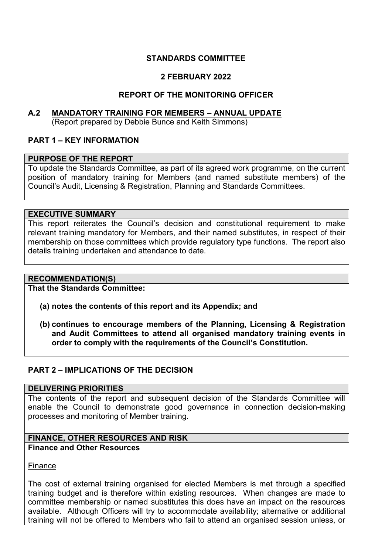# **STANDARDS COMMITTEE**

# **2 FEBRUARY 2022**

# **REPORT OF THE MONITORING OFFICER**

#### **A.2 MANDATORY TRAINING FOR MEMBERS – ANNUAL UPDATE** (Report prepared by Debbie Bunce and Keith Simmons)

## **PART 1 – KEY INFORMATION**

### **PURPOSE OF THE REPORT**

To update the Standards Committee, as part of its agreed work programme, on the current position of mandatory training for Members (and named substitute members) of the Council's Audit, Licensing & Registration, Planning and Standards Committees.

#### **EXECUTIVE SUMMARY**

This report reiterates the Council's decision and constitutional requirement to make relevant training mandatory for Members, and their named substitutes, in respect of their membership on those committees which provide regulatory type functions. The report also details training undertaken and attendance to date.

### **RECOMMENDATION(S)**

**That the Standards Committee:** 

- **(a) notes the contents of this report and its Appendix; and**
- **(b) continues to encourage members of the Planning, Licensing & Registration and Audit Committees to attend all organised mandatory training events in order to comply with the requirements of the Council's Constitution.**

### **PART 2 – IMPLICATIONS OF THE DECISION**

#### **DELIVERING PRIORITIES**

The contents of the report and subsequent decision of the Standards Committee will enable the Council to demonstrate good governance in connection decision-making processes and monitoring of Member training.

# **FINANCE, OTHER RESOURCES AND RISK**

### **Finance and Other Resources**

Finance

The cost of external training organised for elected Members is met through a specified training budget and is therefore within existing resources. When changes are made to committee membership or named substitutes this does have an impact on the resources available. Although Officers will try to accommodate availability; alternative or additional training will not be offered to Members who fail to attend an organised session unless, or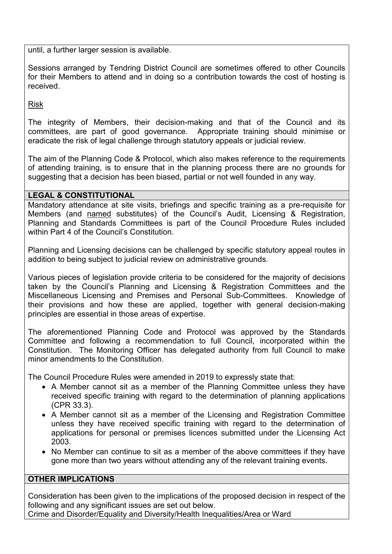until, a further larger session is available.

Sessions arranged by Tendring District Council are sometimes offered to other Councils for their Members to attend and in doing so a contribution towards the cost of hosting is received.

Risk

The integrity of Members, their decision-making and that of the Council and its committees, are part of good governance. Appropriate training should minimise or eradicate the risk of legal challenge through statutory appeals or judicial review.

The aim of the Planning Code & Protocol, which also makes reference to the requirements of attending training, is to ensure that in the planning process there are no grounds for suggesting that a decision has been biased, partial or not well founded in any way.

## **LEGAL & CONSTITUTIONAL**

Mandatory attendance at site visits, briefings and specific training as a pre-requisite for Members (and named substitutes) of the Council's Audit, Licensing & Registration, Planning and Standards Committees is part of the Council Procedure Rules included within Part 4 of the Council's Constitution.

Planning and Licensing decisions can be challenged by specific statutory appeal routes in addition to being subject to judicial review on administrative grounds.

Various pieces of legislation provide criteria to be considered for the majority of decisions taken by the Council's Planning and Licensing & Registration Committees and the Miscellaneous Licensing and Premises and Personal Sub-Committees. Knowledge of their provisions and how these are applied, together with general decision-making principles are essential in those areas of expertise.

The aforementioned Planning Code and Protocol was approved by the Standards Committee and following a recommendation to full Council, incorporated within the Constitution. The Monitoring Officer has delegated authority from full Council to make minor amendments to the Constitution.

The Council Procedure Rules were amended in 2019 to expressly state that:

- A Member cannot sit as a member of the Planning Committee unless they have received specific training with regard to the determination of planning applications (CPR 33.3).
- A Member cannot sit as a member of the Licensing and Registration Committee unless they have received specific training with regard to the determination of applications for personal or premises licences submitted under the Licensing Act 2003.
- No Member can continue to sit as a member of the above committees if they have gone more than two years without attending any of the relevant training events.

### **OTHER IMPLICATIONS**

Consideration has been given to the implications of the proposed decision in respect of the following and any significant issues are set out below.

Crime and Disorder/Equality and Diversity/Health Inequalities/Area or Ward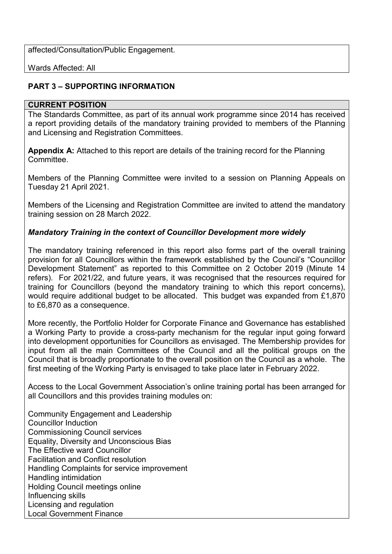affected/Consultation/Public Engagement.

Wards Affected: All

## **PART 3 – SUPPORTING INFORMATION**

#### **CURRENT POSITION**

The Standards Committee, as part of its annual work programme since 2014 has received a report providing details of the mandatory training provided to members of the Planning and Licensing and Registration Committees.

**Appendix A:** Attached to this report are details of the training record for the Planning **Committee.** 

Members of the Planning Committee were invited to a session on Planning Appeals on Tuesday 21 April 2021.

Members of the Licensing and Registration Committee are invited to attend the mandatory training session on 28 March 2022.

## *Mandatory Training in the context of Councillor Development more widely*

The mandatory training referenced in this report also forms part of the overall training provision for all Councillors within the framework established by the Council's "Councillor Development Statement" as reported to this Committee on 2 October 2019 (Minute 14 refers). For 2021/22, and future years, it was recognised that the resources required for training for Councillors (beyond the mandatory training to which this report concerns), would require additional budget to be allocated. This budget was expanded from £1,870 to £6,870 as a consequence.

More recently, the Portfolio Holder for Corporate Finance and Governance has established a Working Party to provide a cross-party mechanism for the regular input going forward into development opportunities for Councillors as envisaged. The Membership provides for input from all the main Committees of the Council and all the political groups on the Council that is broadly proportionate to the overall position on the Council as a whole. The first meeting of the Working Party is envisaged to take place later in February 2022.

Access to the Local Government Association's online training portal has been arranged for all Councillors and this provides training modules on:

Community Engagement and Leadership Councillor Induction Commissioning Council services Equality, Diversity and Unconscious Bias The Effective ward Councillor Facilitation and Conflict resolution Handling Complaints for service improvement Handling intimidation Holding Council meetings online Influencing skills Licensing and regulation Local Government Finance